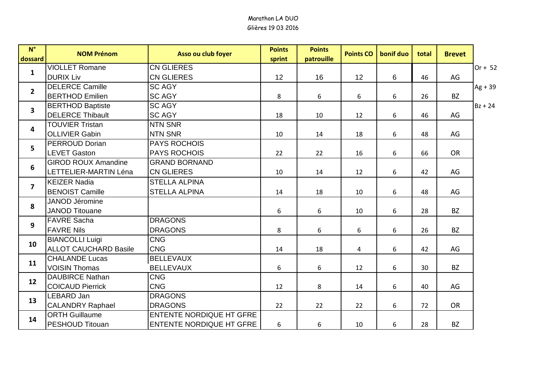| $N^{\circ}$             | <b>NOM Prénom</b>            | Asso ou club foyer              | <b>Points</b> | <b>Points</b> | <b>Points CO</b> | bonif duo | total | <b>Brevet</b> |           |
|-------------------------|------------------------------|---------------------------------|---------------|---------------|------------------|-----------|-------|---------------|-----------|
| dossard                 |                              |                                 | sprint        | patrouille    |                  |           |       |               |           |
| $\mathbf{1}$            | <b>VIOLLET Romane</b>        | <b>CN GLIERES</b>               |               |               |                  |           |       |               | Or + $52$ |
|                         | <b>DURIX Liv</b>             | <b>CN GLIERES</b>               | 12            | 16            | 12               | 6         | 46    | AG            |           |
| $\overline{2}$          | <b>DELERCE Camille</b>       | <b>SC AGY</b>                   |               |               |                  |           |       |               | $Ag + 39$ |
|                         | <b>BERTHOD Emilien</b>       | <b>SC AGY</b>                   | 8             | 6             | 6                | 6         | 26    | <b>BZ</b>     |           |
| $\overline{\mathbf{3}}$ | <b>BERTHOD Baptiste</b>      | <b>SC AGY</b>                   |               |               |                  |           |       |               | $Bz + 24$ |
|                         | <b>DELERCE Thibault</b>      | <b>SC AGY</b>                   | 18            | 10            | 12               | 6         | 46    | AG            |           |
| $\overline{\mathbf{4}}$ | <b>TOUVIER Tristan</b>       | <b>NTN SNR</b>                  |               |               |                  |           |       |               |           |
|                         | <b>OLLIVIER Gabin</b>        | <b>NTN SNR</b>                  | 10            | 14            | 18               | 6         | 48    | AG            |           |
| 5                       | <b>PERROUD Dorian</b>        | <b>PAYS ROCHOIS</b>             |               |               |                  |           |       |               |           |
|                         | <b>LEVET Gaston</b>          | <b>PAYS ROCHOIS</b>             | 22            | 22            | 16               | 6         | 66    | <b>OR</b>     |           |
| 6                       | <b>GIROD ROUX Amandine</b>   | <b>GRAND BORNAND</b>            |               |               |                  |           |       |               |           |
|                         | LETTELIER-MARTIN Léna        | <b>CN GLIERES</b>               | 10            | 14            | 12               | 6         | 42    | AG            |           |
| $\overline{\mathbf{z}}$ | <b>KEIZER Nadia</b>          | <b>STELLA ALPINA</b>            |               |               |                  |           |       |               |           |
|                         | <b>BENOIST Camille</b>       | <b>STELLA ALPINA</b>            | 14            | 18            | 10               | 6         | 48    | AG            |           |
| 8                       | <b>JANOD Jéromine</b>        |                                 |               |               |                  |           |       |               |           |
|                         | <b>JANOD Titouane</b>        |                                 | 6             | 6             | 10               | 6         | 28    | <b>BZ</b>     |           |
| $\mathbf{9}$            | <b>FAVRE Sacha</b>           | <b>DRAGONS</b>                  |               |               |                  |           |       |               |           |
|                         | <b>FAVRE Nils</b>            | <b>DRAGONS</b>                  | 8             | 6             | 6                | 6         | 26    | <b>BZ</b>     |           |
|                         | <b>BIANCOLLI Luigi</b>       | <b>CNG</b>                      |               |               |                  |           |       |               |           |
| 10                      | <b>ALLOT CAUCHARD Basile</b> | <b>CNG</b>                      | 14            | 18            | $\overline{4}$   | 6         | 42    | AG            |           |
| 11                      | <b>CHALANDE Lucas</b>        | <b>BELLEVAUX</b>                |               |               |                  |           |       |               |           |
|                         | <b>VOISIN Thomas</b>         | <b>BELLEVAUX</b>                | 6             | 6             | 12               | 6         | 30    | <b>BZ</b>     |           |
| 12                      | <b>DAUBIRCE Nathan</b>       | <b>CNG</b>                      |               |               |                  |           |       |               |           |
|                         | <b>COICAUD Pierrick</b>      | <b>CNG</b>                      | 12            | 8             | 14               | 6         | 40    | AG            |           |
| 13                      | <b>LEBARD Jan</b>            | <b>DRAGONS</b>                  |               |               |                  |           |       |               |           |
|                         | <b>CALANDRY Raphael</b>      | <b>DRAGONS</b>                  | 22            | 22            | 22               | 6         | 72    | <b>OR</b>     |           |
| 14                      | <b>ORTH Guillaume</b>        | <b>ENTENTE NORDIQUE HT GFRE</b> |               |               |                  |           |       |               |           |
|                         | <b>PESHOUD Titouan</b>       | ENTENTE NORDIQUE HT GFRE        | 6             | 6             | 10               | 6         | 28    | <b>BZ</b>     |           |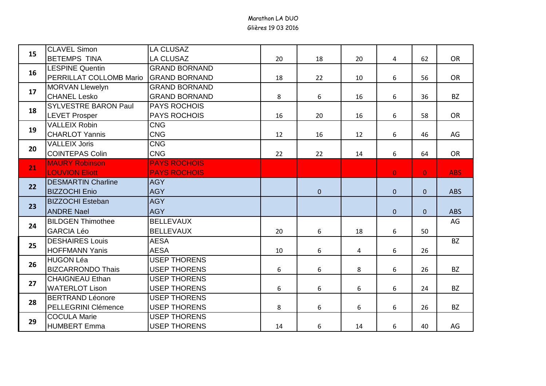| 15       | <b>CLAVEL Simon</b>         | <b>LA CLUSAZ</b>     |       |              |    |                |                |            |
|----------|-----------------------------|----------------------|-------|--------------|----|----------------|----------------|------------|
|          | <b>BETEMPS TINA</b>         | <b>LA CLUSAZ</b>     | 20    | 18           | 20 | $\overline{a}$ | 62             | OR         |
| 16       | <b>LESPINE Quentin</b>      | <b>GRAND BORNAND</b> |       |              |    |                |                |            |
|          | PERRILLAT COLLOMB Mario     | <b>GRAND BORNAND</b> | 18    | 22           | 10 | 6              | 56             | OR         |
| 17<br>18 | <b>MORVAN Llewelyn</b>      | <b>GRAND BORNAND</b> |       |              |    |                |                |            |
|          | <b>CHANEL Lesko</b>         | <b>GRAND BORNAND</b> | 8     | 6            | 16 | 6              | 36             | <b>BZ</b>  |
|          | <b>SYLVESTRE BARON Paul</b> | <b>PAYS ROCHOIS</b>  |       |              |    |                |                |            |
|          | <b>LEVET Prosper</b>        | <b>PAYS ROCHOIS</b>  | 16    | 20           | 16 | 6              | 58             | OR         |
| 19       | <b>VALLEIX Robin</b>        | <b>CNG</b>           |       |              |    |                |                |            |
|          | <b>CHARLOT Yannis</b>       | <b>CNG</b>           | 12    | 16           | 12 | 6              | 46             | AG         |
| 20       | <b>VALLEIX Joris</b>        | <b>CNG</b>           |       |              |    |                |                |            |
|          | <b>COINTEPAS Colin</b>      | <b>CNG</b>           | 22    | 22           | 14 | 6              | 64             | OR         |
| 21       | <b>MAURY Robinson</b>       | <b>PAYS ROCHOIS</b>  |       |              |    |                |                |            |
|          | <b>LOUVION Eliott</b>       | <b>PAYS ROCHOIS</b>  |       |              |    | $\overline{0}$ | $\overline{0}$ | <b>ABS</b> |
| 22       | <b>DESMARTIN Charline</b>   | <b>AGY</b>           |       |              |    |                |                |            |
|          | <b>BIZZOCHI Enio</b>        | <b>AGY</b>           |       | $\mathbf{0}$ |    | $\overline{0}$ | $\mathbf{0}$   | <b>ABS</b> |
| 23       | <b>BIZZOCHI Esteban</b>     | <b>AGY</b>           |       |              |    |                |                |            |
|          | <b>ANDRE Nael</b>           | <b>AGY</b>           |       |              |    | $\overline{0}$ | $\mathbf{0}$   | <b>ABS</b> |
| 24       | <b>BILDGEN Thimothee</b>    | <b>BELLEVAUX</b>     |       |              |    |                |                | AG         |
|          | <b>GARCIA Léo</b>           | <b>BELLEVAUX</b>     | 20    | 6            | 18 | 6              | 50             |            |
| 25       | <b>DESHAIRES Louis</b>      | <b>AESA</b>          |       |              |    |                |                | <b>BZ</b>  |
|          | <b>HOFFMANN Yanis</b>       | <b>AESA</b>          | 10    | 6            | 4  | 6              | 26             |            |
| 26       | <b>HUGON Léa</b>            | <b>USEP THORENS</b>  |       |              |    |                |                |            |
|          | <b>BIZCARRONDO Thais</b>    | <b>USEP THORENS</b>  | 6     | 6            | 8  | 6              | 26             | <b>BZ</b>  |
| 27       | <b>CHAIGNEAU Ethan</b>      | <b>USEP THORENS</b>  |       |              |    |                |                |            |
|          | <b>WATERLOT Lison</b>       | <b>USEP THORENS</b>  | $6\,$ | 6            | 6  | 6              | 24             | <b>BZ</b>  |
| 28       | <b>BERTRAND Léonore</b>     | <b>USEP THORENS</b>  |       |              |    |                |                |            |
|          | PELLEGRINI Clémence         | <b>USEP THORENS</b>  | 8     | 6            | 6  | 6              | 26             | <b>BZ</b>  |
|          | <b>COCULA Marie</b>         | <b>USEP THORENS</b>  |       |              |    |                |                |            |
| 29       | <b>HUMBERT Emma</b>         | <b>USEP THORENS</b>  | 14    | 6            | 14 | 6              | 40             | AG         |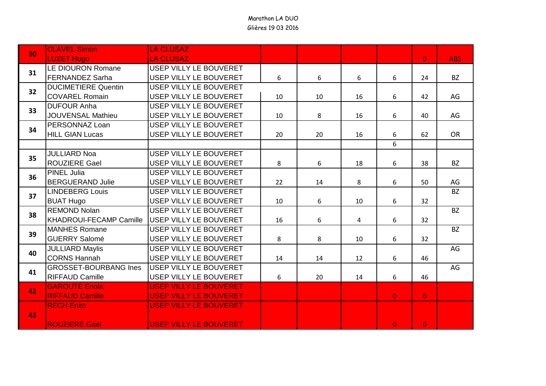| 30 | <b>CLAVEL Simon</b>            | <b>LA CLUSAZ</b>              |       |    |    |                |                |            |
|----|--------------------------------|-------------------------------|-------|----|----|----------------|----------------|------------|
|    | <b>LUZET Hugo</b>              | <b>LA CLUSAZ</b>              |       |    |    |                | $\overline{0}$ | <b>ABS</b> |
| 31 | LE DIOURON Romane              | <b>USEP VILLY LE BOUVERET</b> |       |    |    |                |                |            |
|    | <b>FERNANDEZ Sarha</b>         | USEP VILLY LE BOUVERET        | 6     | 6  | 6  | 6              | 24             | <b>BZ</b>  |
| 32 | <b>DUCIMETIERE Quentin</b>     | USEP VILLY LE BOUVERET        |       |    |    |                |                |            |
|    | <b>COVAREL Romain</b>          | USEP VILLY LE BOUVERET        | 10    | 10 | 16 | 6              | 42             | AG         |
| 33 | <b>DUFOUR Anha</b>             | USEP VILLY LE BOUVERET        |       |    |    |                |                |            |
|    | <b>JOUVENSAL Mathieu</b>       | USEP VILLY LE BOUVERET        | 10    | 8  | 16 | 6              | 40             | AG         |
| 34 | PERSONNAZ Loan                 | USEP VILLY LE BOUVERET        |       |    |    |                |                |            |
|    | <b>HILL GIAN Lucas</b>         | USEP VILLY LE BOUVERET        | 20    | 20 | 16 | 6              | 62             | <b>OR</b>  |
|    |                                |                               |       |    |    | 6              |                |            |
| 35 | <b>JULLIARD Noa</b>            | USEP VILLY LE BOUVERET        |       |    |    |                |                |            |
|    | <b>ROUZIERE Gael</b>           | USEP VILLY LE BOUVERET        | 8     | 6  | 18 | 6              | 38             | <b>BZ</b>  |
| 36 | <b>PINEL Julia</b>             | USEP VILLY LE BOUVERET        |       |    |    |                |                |            |
|    | <b>BERGUERAND Julie</b>        | <b>USEP VILLY LE BOUVERET</b> | 22    | 14 | 8  | 6              | 50             | AG         |
| 37 | <b>LINDEBERG Louis</b>         | USEP VILLY LE BOUVERET        |       |    |    |                |                | <b>BZ</b>  |
|    | <b>BUAT Hugo</b>               | USEP VILLY LE BOUVERET        | 10    | 6  | 10 | 6              | 32             |            |
| 38 | <b>REMOND Nolan</b>            | <b>USEP VILLY LE BOUVERET</b> |       |    |    |                |                | <b>BZ</b>  |
|    | <b>KHADROUI-FECAMP Camille</b> | USEP VILLY LE BOUVERET        | 16    | 6  | 4  | 6              | 32             |            |
| 39 | <b>MANHES Romane</b>           | USEP VILLY LE BOUVERET        |       |    |    |                |                | <b>BZ</b>  |
|    | <b>GUERRY Salomé</b>           | USEP VILLY LE BOUVERET        | 8     | 8  | 10 | 6              | 32             |            |
| 40 | <b>JULLIARD Maylis</b>         | USEP VILLY LE BOUVERET        |       |    |    |                |                | AG         |
|    | <b>CORNS Hannah</b>            | USEP VILLY LE BOUVERET        | 14    | 14 | 12 | 6              | 46             |            |
| 41 | <b>GROSSET-BOURBANG Ines</b>   | USEP VILLY LE BOUVERET        |       |    |    |                |                | AG         |
|    | <b>RIFFAUD Camille</b>         | USEP VILLY LE BOUVERET        | $6\,$ | 20 | 14 | 6              | 46             |            |
| 42 | <b>GAROUTE Enola</b>           | <b>USEP VILLY LE BOUVERET</b> |       |    |    |                |                |            |
|    | <b>RIFFAUD Camille</b>         | <b>USEP VILLY LE BOUVERET</b> |       |    |    | $\mathbf{0}$   | $\mathbf{0}$   |            |
|    | <b>RECH Enzo</b>               | <b>USEP VILLY LE BOUVERET</b> |       |    |    |                |                |            |
| 43 |                                |                               |       |    |    |                |                |            |
|    | <b>ROUZIERE Gael</b>           | <b>USEP VILLY LE BOUVERET</b> |       |    |    | $\overline{0}$ | $\overline{0}$ |            |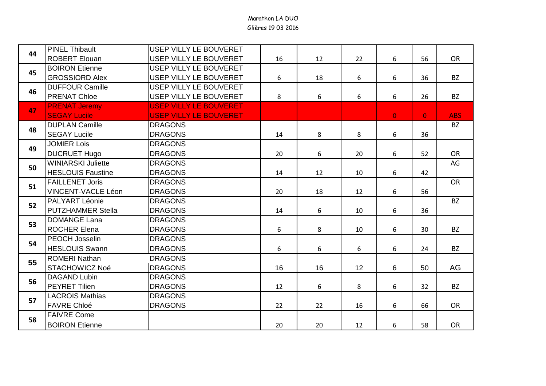|    | <b>PINEL Thibault</b>     | USEP VILLY LE BOUVERET        |    |    |    |                |                |            |
|----|---------------------------|-------------------------------|----|----|----|----------------|----------------|------------|
| 44 | <b>ROBERT Elouan</b>      | USEP VILLY LE BOUVERET        | 16 | 12 | 22 | 6              | 56             | OR         |
| 45 | <b>BOIRON Etienne</b>     | USEP VILLY LE BOUVERET        |    |    |    |                |                |            |
|    | <b>GROSSIORD Alex</b>     | USEP VILLY LE BOUVERET        | 6  | 18 | 6  | 6              | 36             | <b>BZ</b>  |
|    | <b>DUFFOUR Camille</b>    | <b>USEP VILLY LE BOUVERET</b> |    |    |    |                |                |            |
| 46 | <b>PRENAT Chloe</b>       | USEP VILLY LE BOUVERET        | 8  | 6  | 6  | 6              | 26             | <b>BZ</b>  |
|    | <b>PRENAT Jeremy</b>      | <b>USEP VILLY LE BOUVERET</b> |    |    |    |                |                |            |
| 47 | <b>SEGAY Lucile</b>       | <b>USEP VILLY LE BOUVERET</b> |    |    |    | $\overline{0}$ | $\overline{0}$ | <b>ABS</b> |
| 48 | <b>DUPLAN Camille</b>     | <b>DRAGONS</b>                |    |    |    |                |                | <b>BZ</b>  |
|    | <b>SEGAY Lucile</b>       | <b>DRAGONS</b>                | 14 | 8  | 8  | 6              | 36             |            |
| 49 | <b>JOMIER Lois</b>        | <b>DRAGONS</b>                |    |    |    |                |                |            |
|    | <b>DUCRUET Hugo</b>       | <b>DRAGONS</b>                | 20 | 6  | 20 | 6              | 52             | OR         |
| 50 | <b>WINIARSKI Juliette</b> | <b>DRAGONS</b>                |    |    |    |                |                | AG         |
|    | <b>HESLOUIS Faustine</b>  | <b>DRAGONS</b>                | 14 | 12 | 10 | 6              | 42             |            |
| 51 | <b>FAILLENET Joris</b>    | <b>DRAGONS</b>                |    |    |    |                |                | OR         |
|    | <b>VINCENT-VACLE Léon</b> | <b>DRAGONS</b>                | 20 | 18 | 12 | 6              | 56             |            |
| 52 | <b>PALYART Léonie</b>     | <b>DRAGONS</b>                |    |    |    |                |                | <b>BZ</b>  |
|    | <b>PUTZHAMMER Stella</b>  | <b>DRAGONS</b>                | 14 | 6  | 10 | 6              | 36             |            |
| 53 | <b>DOMANGE Lana</b>       | <b>DRAGONS</b>                |    |    |    |                |                |            |
|    | <b>ROCHER Elena</b>       | <b>DRAGONS</b>                | 6  | 8  | 10 | 6              | 30             | <b>BZ</b>  |
| 54 | PEOCH Josselin            | <b>DRAGONS</b>                |    |    |    |                |                |            |
|    | <b>HESLOUIS Swann</b>     | <b>DRAGONS</b>                | 6  | 6  | 6  | 6              | 24             | <b>BZ</b>  |
| 55 | <b>ROMERI Nathan</b>      | <b>DRAGONS</b>                |    |    |    |                |                |            |
|    | <b>STACHOWICZ Noé</b>     | <b>DRAGONS</b>                | 16 | 16 | 12 | 6              | 50             | AG         |
| 56 | <b>DAGAND Lubin</b>       | <b>DRAGONS</b>                |    |    |    |                |                |            |
|    | <b>PEYRET Tilien</b>      | <b>DRAGONS</b>                | 12 | 6  | 8  | 6              | 32             | <b>BZ</b>  |
| 57 | <b>LACROIS Mathias</b>    | <b>DRAGONS</b>                |    |    |    |                |                |            |
|    | <b>FAVRE Chloé</b>        | <b>DRAGONS</b>                | 22 | 22 | 16 | 6              | 66             | OR         |
|    | <b>FAIVRE Come</b>        |                               |    |    |    |                |                |            |
| 58 | <b>BOIRON Etienne</b>     |                               | 20 | 20 | 12 | 6              | 58             | OR         |